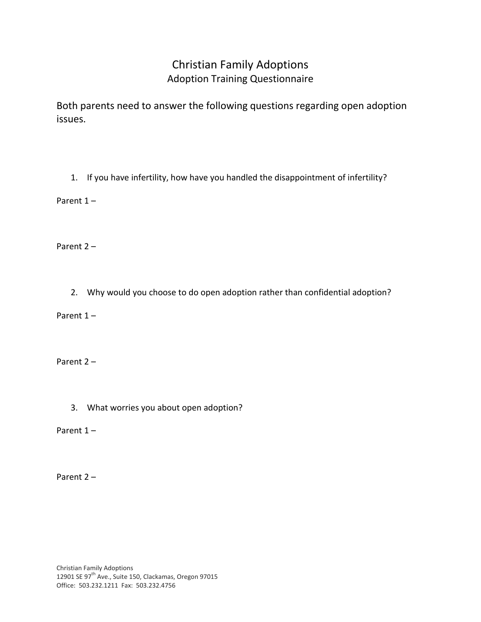## Christian Family Adoptions Adoption Training Questionnaire

Both parents need to answer the following questions regarding open adoption issues.

1. If you have infertility, how have you handled the disappointment of infertility?

Parent 1 –

Parent 2 –

2. Why would you choose to do open adoption rather than confidential adoption?

Parent 1 –

Parent 2 –

3. What worries you about open adoption?

Parent 1 –

Parent 2 –

Christian Family Adoptions 12901 SE 97<sup>th</sup> Ave., Suite 150, Clackamas, Oregon 97015 Office: 503.232.1211 Fax: 503.232.4756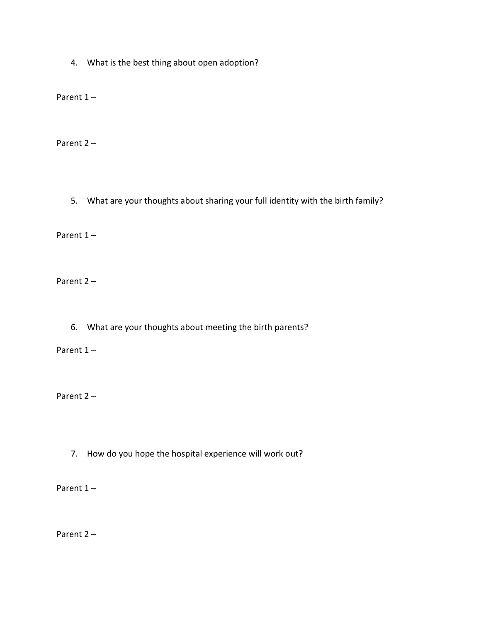4. What is the best thing about open adoption?

Parent 1 –

Parent 2 –

5. What are your thoughts about sharing your full identity with the birth family?

Parent 1 –

Parent 2 –

6. What are your thoughts about meeting the birth parents?

Parent 1 –

Parent 2 –

7. How do you hope the hospital experience will work out?

Parent 1 –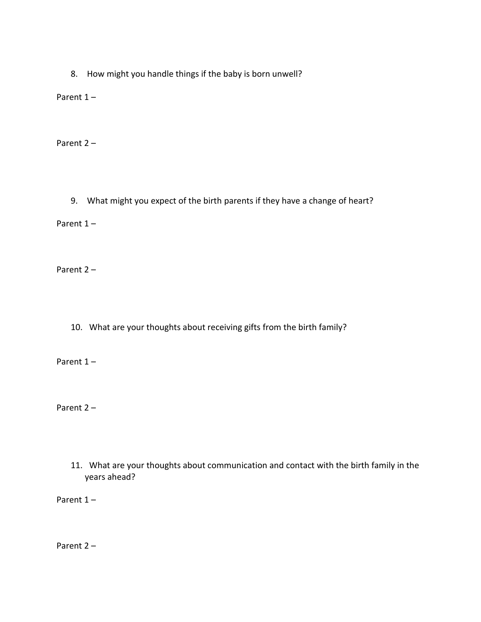8. How might you handle things if the baby is born unwell?

Parent 1 –

Parent 2 –

9. What might you expect of the birth parents if they have a change of heart?

Parent 1 –

Parent 2 –

10. What are your thoughts about receiving gifts from the birth family?

Parent 1 –

Parent 2 –

11. What are your thoughts about communication and contact with the birth family in the years ahead?

Parent 1-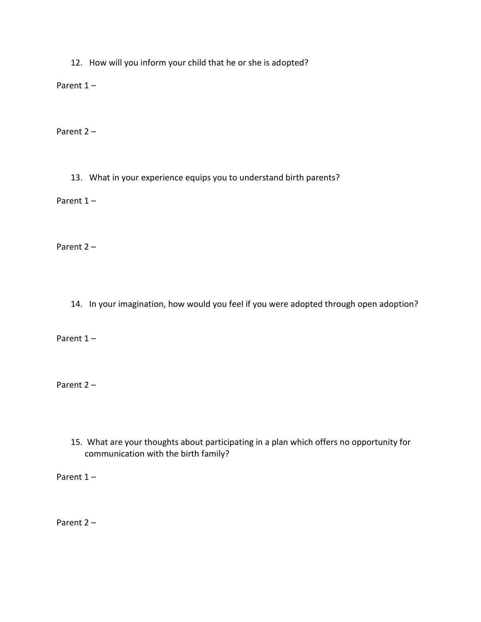12. How will you inform your child that he or she is adopted?

Parent 1 –

Parent 2 –

13. What in your experience equips you to understand birth parents?

Parent 1-

Parent 2 –

14. In your imagination, how would you feel if you were adopted through open adoption?

Parent 1 –

Parent 2 –

15. What are your thoughts about participating in a plan which offers no opportunity for communication with the birth family?

Parent 1 –